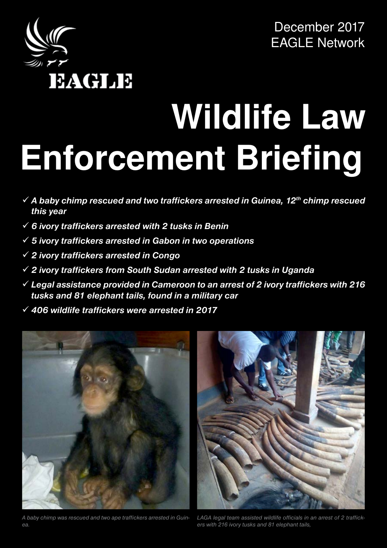

December 2017 EAGLE Network

# **Wildlife Law Enforcement Briefing**

- 9 *A baby chimp rescued and two traffickers arrested in Guinea, 12th chimp rescued this year*
- 9 *6 ivory traffickers arrested with 2 tusks in Benin*
- 9 *5 ivory traffickers arrested in Gabon in two operations*
- 9 *2 ivory traffickers arrested in Congo*
- 9 *2 ivory traffickers from South Sudan arrested with 2 tusks in Uganda*
- 9 *Legal assistance provided in Cameroon to an arrest of 2 ivory traffickers with 216 tusks and 81 elephant tails, found in a military car*
- 9 *406 wildlife traffickers were arrested in 2017*



werporped and two ape traffickers arrested in Guin-<br>A baby chimp was rescued and two ape traffickers arrested in Guin- LAGA legal team assisted wildlife officials in an arrest of 2 traffick-A baby chimp was rescued and two ape traffickers arrested in Guin- LAGA legal<br>Coast Coast Coast Coast Coast Coast Coast Coast Coast Coast Coast Coast Coast Coast Coast Coast Coast Coast Co *ea.*



*ers with 216 ivory tusks and 81 elephant tails,*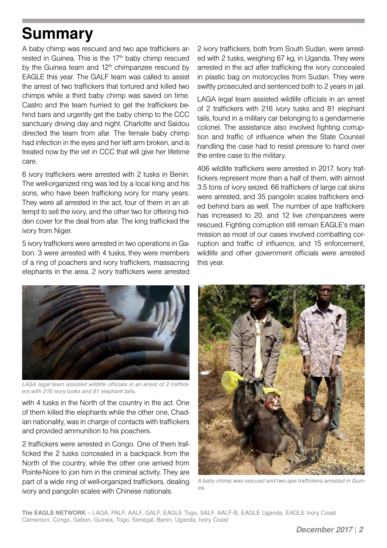### **Summary**

A baby chimp was rescued and two ape traffickers arrested in Guinea. This is the  $17<sup>th</sup>$  baby chimp rescued by the Guinea team and  $12<sup>th</sup>$  chimpanzee rescued by EAGLE this year. The GALF team was called to assist the arrest of two traffickers that tortured and killed two chimps while a third baby chimp was saved on time. Castro and the team hurried to get the traffickers behind bars and urgently get the baby chimp to the CCC sanctuary driving day and night. Charlotte and Saidou directed the team from afar. The female baby chimp had infection in the eyes and her left arm broken, and is treated now by the vet in CCC that will give her lifetime care.

6 ivory traffickers were arrested with 2 tusks in Benin. The well-organized ring was led by a local king and his sons, who have been trafficking ivory for many years. They were all arrested in the act, four of them in an attempt to sell the ivory, and the other two for offering hidden cover for the deal from afar. The king trafficked the ivory from Niger.

5 ivory traffickers were arrested in two operations in Gabon. 3 were arrested with 4 tusks, they were members of a ring of poachers and ivory traffickers, massacring elephants in the area. 2 ivory traffickers were arrested

2 ivory traffickers, both from South Sudan, were arrested with 2 tusks, weighing 67 kg, in Uganda. They were arrested in the act after trafficking the ivory concealed in plastic bag on motorcycles from Sudan. They were swiftly prosecuted and sentenced both to 2 years in jail.

LAGA legal team assisted wildlife officials in an arrest of 2 traffickers with 216 ivory tusks and 81 elephant tails, found in a military car belonging to a gendarmerie colonel. The assistance also involved fighting corruption and traffic of influence when the State Counsel handling the case had to resist pressure to hand over the entire case to the military.

406 wildlife traffickers were arrested in 2017. Ivory traffickers represent more than a half of them, with almost 3.5 tons of ivory seized. 66 traffickers of large cat skins were arrested, and 35 pangolin scales traffickers ended behind bars as well. The number of ape traffickers has increased to 20, and 12 live chimpanzees were rescued. Fighting corruption still remain EAGLE's main mission as most of our cases involved combatting corruption and traffic of influence, and 15 enforcement, wildlife and other government officials were arrested this year.



*LAGA legal team assisted wildlife officials in an arrest of 2 traffickers with 216 ivory tusks and 81 elephant tails,*

with 4 tusks in the North of the country in the act. One of them killed the elephants while the other one, Chadian nationality, was in charge of contacts with traffickers and provided ammunition to his poachers.

2 traffickers were arrested in Congo. One of them trafficked the 2 tusks concealed in a backpack from the North of the country, while the other one arrived from Pointe-Noire to join him in the criminal activity. They are part of a wide ring of well-organized traffickers, dealing ivory and pangolin scales with Chinese nationals.



*A baby chimp was rescued and two ape traffickers arrested in Guinea.*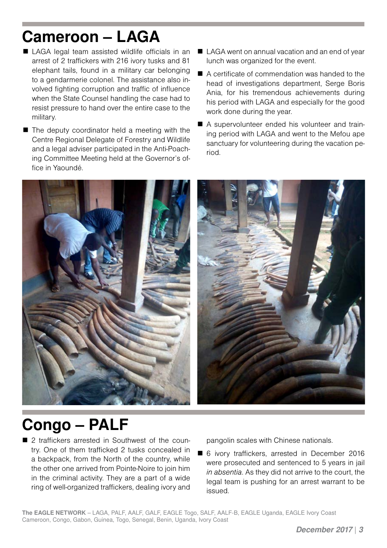### **Cameroon – LAGA**

- LAGA legal team assisted wildlife officials in an arrest of 2 traffickers with 216 ivory tusks and 81 elephant tails, found in a military car belonging to a gendarmerie colonel. The assistance also involved fighting corruption and traffic of influence when the State Counsel handling the case had to resist pressure to hand over the entire case to the military.
- $\blacksquare$  The deputy coordinator held a meeting with the Centre Regional Delegate of Forestry and Wildlife and a legal adviser participated in the Anti-Poaching Committee Meeting held at the Governor's office in Yaoundé.
- LAGA went on annual vacation and an end of year lunch was organized for the event.
- A certificate of commendation was handed to the head of investigations department. Serge Boris Ania, for his tremendous achievements during his period with LAGA and especially for the good work done during the year.
- A supervolunteer ended his volunteer and training period with LAGA and went to the Mefou ape sanctuary for volunteering during the vacation period.



#### **Congo – PALF**

■ 2 traffickers arrested in Southwest of the country. One of them trafficked 2 tusks concealed in a backpack, from the North of the country, while the other one arrived from Pointe-Noire to join him in the criminal activity. They are a part of a wide ring of well-organized traffickers, dealing ivory and pangolin scales with Chinese nationals.

■ 6 ivory traffickers, arrested in December 2016 were prosecuted and sentenced to 5 years in jail *in absentia*. As they did not arrive to the court, the legal team is pushing for an arrest warrant to be issued.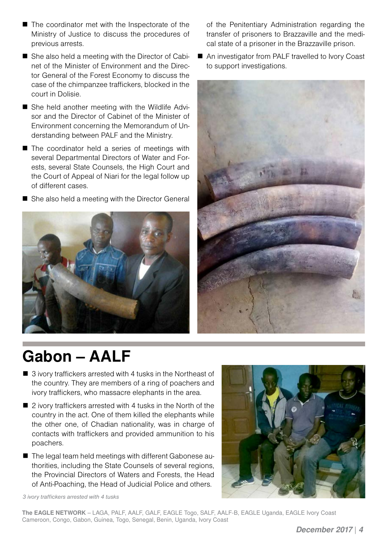- She also held a meeting with the Director of Cabinet of the Minister of Environment and the Direc
	- tor General of the Forest Economy to discuss the case of the chimpanzee traffickers, blocked in the court in Dolisie.

■ The coordinator met with the Inspectorate of the Ministry of Justice to discuss the procedures of

previous arrests.

- She held another meeting with the Wildlife Advisor and the Director of Cabinet of the Minister of Environment concerning the Memorandum of Understanding between PALF and the Ministry.
- The coordinator held a series of meetings with several Departmental Directors of Water and Forests, several State Counsels, the High Court and the Court of Appeal of Niari for the legal follow up of different cases.
- She also held a meeting with the Director General



#### of the Penitentiary Administration regarding the transfer of prisoners to Brazzaville and the medical state of a prisoner in the Brazzaville prison.

■ An investigator from PALF travelled to Ivory Coast to support investigations.



#### **Gabon – AALF**

- 3 ivory traffickers arrested with 4 tusks in the Northeast of the country. They are members of a ring of poachers and ivory traffickers, who massacre elephants in the area.
- 2 ivory traffickers arrested with 4 tusks in the North of the country in the act. One of them killed the elephants while the other one, of Chadian nationality, was in charge of contacts with traffickers and provided ammunition to his poachers.
- The legal team held meetings with different Gabonese authorities, including the State Counsels of several regions, the Provincial Directors of Waters and Forests, the Head of Anti-Poaching, the Head of Judicial Police and others.



*3 ivory traffickers arrested with 4 tusks*

**The EAGLE NETWORK** – LAGA, PALF, AALF, GALF, EAGLE Togo, SALF, AALF-B, EAGLE Uganda, EAGLE Ivory Coast Cameroon, Congo, Gabon, Guinea, Togo, Senegal, Benin, Uganda, Ivory Coast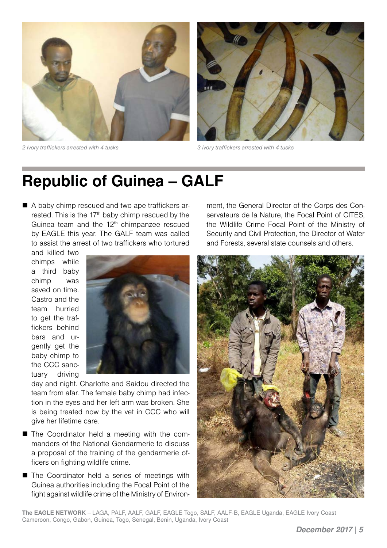

*2 ivory traffickers arrested with 4 tusks 3 ivory traffickers arrested with 4 tusks*



#### **Republic of Guinea – GALF**

A baby chimp rescued and two ape traffickers arrested. This is the 17<sup>th</sup> baby chimp rescued by the Guinea team and the 12<sup>th</sup> chimpanzee rescued by EAGLE this year. The GALF team was called to assist the arrest of two traffickers who tortured

and killed two chimps while a third baby chimp was saved on time. Castro and the team hurried to get the traffickers behind bars and urgently get the baby chimp to the CCC sanctuary driving



day and night. Charlotte and Saidou directed the team from afar. The female baby chimp had infection in the eyes and her left arm was broken. She is being treated now by the vet in CCC who will give her lifetime care.

- The Coordinator held a meeting with the commanders of the National Gendarmerie to discuss a proposal of the training of the gendarmerie officers on fighting wildlife crime.
- The Coordinator held a series of meetings with Guinea authorities including the Focal Point of the fight against wildlife crime of the Ministry of Environ-

ment, the General Director of the Corps des Conservateurs de la Nature, the Focal Point of CITES, the Wildlife Crime Focal Point of the Ministry of Security and Civil Protection, the Director of Water and Forests, several state counsels and others.



**The EAGLE NETWORK** – LAGA, PALF, AALF, GALF, EAGLE Togo, SALF, AALF-B, EAGLE Uganda, EAGLE Ivory Coast Cameroon, Congo, Gabon, Guinea, Togo, Senegal, Benin, Uganda, Ivory Coast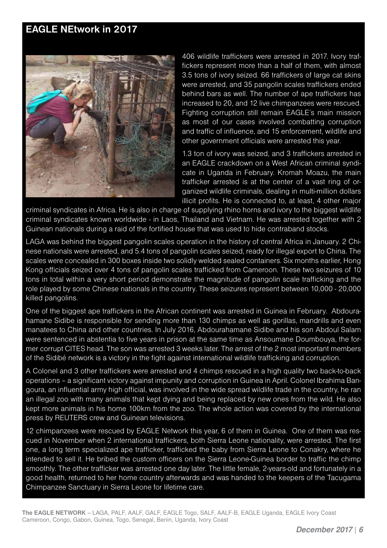#### **EAGLE NEtwork in 2017**



406 wildlife traffickers were arrested in 2017. Ivory traffickers represent more than a half of them, with almost 3.5 tons of ivory seized. 66 traffickers of large cat skins were arrested, and 35 pangolin scales traffickers ended behind bars as well. The number of ape traffickers has increased to 20, and 12 live chimpanzees were rescued. Fighting corruption still remain EAGLE's main mission as most of our cases involved combatting corruption and traffic of influence, and 15 enforcement, wildlife and other government officials were arrested this year.

1.3 ton of ivory was seized, and 3 traffickers arrested in an EAGLE crackdown on a West African criminal syndicate in Uganda in February. Kromah Moazu, the main trafficker arrested is at the center of a vast ring of organized wildlife criminals, dealing in multi-million dollars illicit profits. He is connected to, at least, 4 other major

criminal syndicates in Africa. He is also in charge of supplying rhino horns and ivory to the biggest wildlife criminal syndicates known worldwide - in Laos, Thailand and Vietnam. He was arrested together with 2 Guinean nationals during a raid of the fortified house that was used to hide contraband stocks.

LAGA was behind the biggest pangolin scales operation in the history of central Africa in January. 2 Chinese nationals were arrested, and 5.4 tons of pangolin scales seized, ready for illegal export to China. The scales were concealed in 300 boxes inside two solidly welded sealed containers. Six months earlier, Hong Kong officials seized over 4 tons of pangolin scales trafficked from Cameroon. These two seizures of 10 tons in total within a very short period demonstrate the magnitude of pangolin scale trafficking and the role played by some Chinese nationals in the country. These seizures represent between 10,000 - 20,000 killed pangolins.

One of the biggest ape traffickers in the African continent was arrested in Guinea in February. Abdourahamane Sidibe is responsible for sending more than 130 chimps as well as gorillas, mandrills and even manatees to China and other countries. In July 2016, Abdourahamane Sidibe and his son Abdoul Salam were sentenced in abstentia to five years in prison at the same time as Ansoumane Doumbouya, the former corrupt CITES head. The son was arrested 3 weeks later. The arrest of the 2 most important members of the Sidibé network is a victory in the fight against international wildlife trafficking and corruption.

A Colonel and 3 other traffickers were arrested and 4 chimps rescued in a high quality two back-to-back operations – a significant victory against impunity and corruption in Guinea in April. Colonel Ibrahima Bangoura, an influential army high official, was involved in the wide spread wildlife trade in the country, he ran an illegal zoo with many animals that kept dying and being replaced by new ones from the wild. He also kept more animals in his home 100km from the zoo. The whole action was covered by the international press by REUTERS crew and Guinean televisions.

12 chimpanzees were rescued by EAGLE Network this year, 6 of them in Guinea. One of them was rescued in November when 2 international traffickers, both Sierra Leone nationality, were arrested. The first one, a long term specialized ape trafficker, trafficked the baby from Sierra Leone to Conakry, where he intended to sell it. He bribed the custom officers on the Sierra Leone-Guinea border to traffic the chimp smoothly. The other trafficker was arrested one day later. The little female, 2-years-old and fortunately in a good health, returned to her home country afterwards and was handed to the keepers of the Tacugama Chimpanzee Sanctuary in Sierra Leone for lifetime care.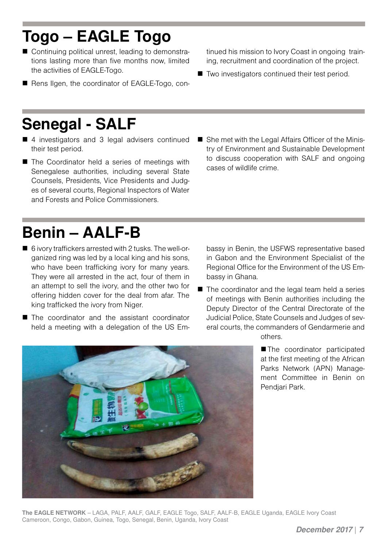## **Togo – EAGLE Togo**

- Continuing political unrest, leading to demonstrations lasting more than five months now, limited the activities of EAGLE-Togo.
- Rens Ilgen, the coordinator of EAGLE-Togo, con-

### **Senegal - SALF**

- 4 investigators and 3 legal advisers continued their test period.
- The Coordinator held a series of meetings with Senegalese authorities, including several State Counsels, Presidents, Vice Presidents and Judges of several courts, Regional Inspectors of Water and Forests and Police Commissioners.
- tinued his mission to Ivory Coast in ongoing training, recruitment and coordination of the project.
- Two investigators continued their test period.

■ She met with the Legal Affairs Officer of the Ministry of Environment and Sustainable Development to discuss cooperation with SALF and ongoing cases of wildlife crime.

### **Benin – AALF-B**

- 6 ivory traffickers arrested with 2 tusks. The well-organized ring was led by a local king and his sons, who have been trafficking ivory for many years. They were all arrested in the act, four of them in an attempt to sell the ivory, and the other two for offering hidden cover for the deal from afar. The king trafficked the ivory from Niger.
- The coordinator and the assistant coordinator held a meeting with a delegation of the US Em-

bassy in Benin, the USFWS representative based in Gabon and the Environment Specialist of the Regional Office for the Environment of the US Embassy in Ghana.

■ The coordinator and the legal team held a series of meetings with Benin authorities including the Deputy Director of the Central Directorate of the Judicial Police, State Counsels and Judges of several courts, the commanders of Gendarmerie and others.



■ The coordinator participated at the first meeting of the African Parks Network (APN) Management Committee in Benin on Pendjari Park.

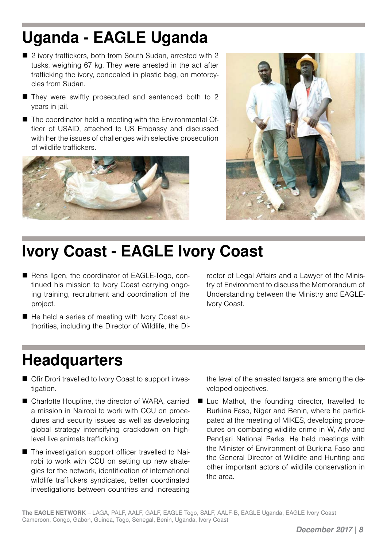## **Uganda - EAGLE Uganda**

- 2 ivory traffickers, both from South Sudan, arrested with 2 tusks, weighing 67 kg. They were arrested in the act after trafficking the ivory, concealed in plastic bag, on motorcycles from Sudan.
- They were swiftly prosecuted and sentenced both to 2 years in jail.
- The coordinator held a meeting with the Environmental Officer of USAID, attached to US Embassy and discussed with her the issues of challenges with selective prosecution of wildlife traffickers.





#### **Ivory Coast - EAGLE Ivory Coast**

- Rens Ilgen, the coordinator of EAGLE-Togo, continued his mission to Ivory Coast carrying ongoing training, recruitment and coordination of the project.
- He held a series of meeting with Ivory Coast authorities, including the Director of Wildlife, the Di-

rector of Legal Affairs and a Lawyer of the Ministry of Environment to discuss the Memorandum of Understanding between the Ministry and EAGLE-Ivory Coast.

#### **Headquarters**

- Ofir Drori travelled to Ivory Coast to support investigation.
- Charlotte Houpline, the director of WARA, carried a mission in Nairobi to work with CCU on procedures and security issues as well as developing global strategy intensifying crackdown on highlevel live animals trafficking
- The investigation support officer travelled to Nairobi to work with CCU on setting up new strategies for the network, identification of international wildlife traffickers syndicates, better coordinated investigations between countries and increasing

the level of the arrested targets are among the developed objectives.

■ Luc Mathot, the founding director, travelled to Burkina Faso, Niger and Benin, where he participated at the meeting of MIKES, developing procedures on combating wildlife crime in W, Arly and Pendjari National Parks. He held meetings with the Minister of Environment of Burkina Faso and the General Director of Wildlife and Hunting and other important actors of wildlife conservation in the area.